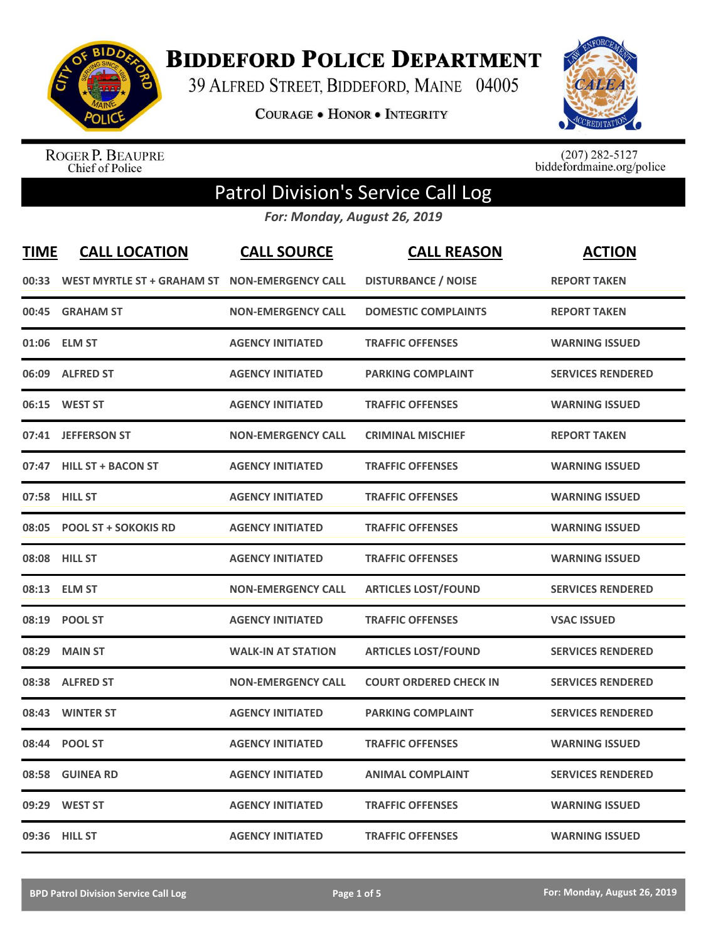

**BIDDEFORD POLICE DEPARTMENT** 

39 ALFRED STREET, BIDDEFORD, MAINE 04005

**COURAGE . HONOR . INTEGRITY** 



ROGER P. BEAUPRE<br>Chief of Police

 $(207)$  282-5127<br>biddefordmaine.org/police

## Patrol Division's Service Call Log

*For: Monday, August 26, 2019*

| <b>TIME</b> | <b>CALL LOCATION</b>        | <b>CALL SOURCE</b>        | <b>CALL REASON</b>            | <b>ACTION</b>            |
|-------------|-----------------------------|---------------------------|-------------------------------|--------------------------|
| 00:33       | WEST MYRTLE ST + GRAHAM ST  | <b>NON-EMERGENCY CALL</b> | <b>DISTURBANCE / NOISE</b>    | <b>REPORT TAKEN</b>      |
| 00:45       | <b>GRAHAM ST</b>            | <b>NON-EMERGENCY CALL</b> | <b>DOMESTIC COMPLAINTS</b>    | <b>REPORT TAKEN</b>      |
| 01:06       | <b>ELM ST</b>               | <b>AGENCY INITIATED</b>   | <b>TRAFFIC OFFENSES</b>       | <b>WARNING ISSUED</b>    |
| 06:09       | <b>ALFRED ST</b>            | <b>AGENCY INITIATED</b>   | <b>PARKING COMPLAINT</b>      | <b>SERVICES RENDERED</b> |
| 06:15       | <b>WEST ST</b>              | <b>AGENCY INITIATED</b>   | <b>TRAFFIC OFFENSES</b>       | <b>WARNING ISSUED</b>    |
|             | 07:41 JEFFERSON ST          | <b>NON-EMERGENCY CALL</b> | <b>CRIMINAL MISCHIEF</b>      | <b>REPORT TAKEN</b>      |
| 07:47       | <b>HILL ST + BACON ST</b>   | <b>AGENCY INITIATED</b>   | <b>TRAFFIC OFFENSES</b>       | <b>WARNING ISSUED</b>    |
|             | 07:58 HILL ST               | <b>AGENCY INITIATED</b>   | <b>TRAFFIC OFFENSES</b>       | <b>WARNING ISSUED</b>    |
| 08:05       | <b>POOL ST + SOKOKIS RD</b> | <b>AGENCY INITIATED</b>   | <b>TRAFFIC OFFENSES</b>       | <b>WARNING ISSUED</b>    |
| 08:08       | <b>HILL ST</b>              | <b>AGENCY INITIATED</b>   | <b>TRAFFIC OFFENSES</b>       | <b>WARNING ISSUED</b>    |
|             | 08:13 ELM ST                | <b>NON-EMERGENCY CALL</b> | <b>ARTICLES LOST/FOUND</b>    | <b>SERVICES RENDERED</b> |
| 08:19       | <b>POOL ST</b>              | <b>AGENCY INITIATED</b>   | <b>TRAFFIC OFFENSES</b>       | <b>VSAC ISSUED</b>       |
| 08:29       | <b>MAIN ST</b>              | <b>WALK-IN AT STATION</b> | <b>ARTICLES LOST/FOUND</b>    | <b>SERVICES RENDERED</b> |
| 08:38       | <b>ALFRED ST</b>            | <b>NON-EMERGENCY CALL</b> | <b>COURT ORDERED CHECK IN</b> | <b>SERVICES RENDERED</b> |
| 08:43       | <b>WINTER ST</b>            | <b>AGENCY INITIATED</b>   | <b>PARKING COMPLAINT</b>      | <b>SERVICES RENDERED</b> |
| 08:44       | <b>POOL ST</b>              | <b>AGENCY INITIATED</b>   | <b>TRAFFIC OFFENSES</b>       | <b>WARNING ISSUED</b>    |
| 08:58       | <b>GUINEA RD</b>            | <b>AGENCY INITIATED</b>   | <b>ANIMAL COMPLAINT</b>       | <b>SERVICES RENDERED</b> |
| 09:29       | <b>WEST ST</b>              | <b>AGENCY INITIATED</b>   | <b>TRAFFIC OFFENSES</b>       | <b>WARNING ISSUED</b>    |
|             | 09:36 HILL ST               | <b>AGENCY INITIATED</b>   | <b>TRAFFIC OFFENSES</b>       | <b>WARNING ISSUED</b>    |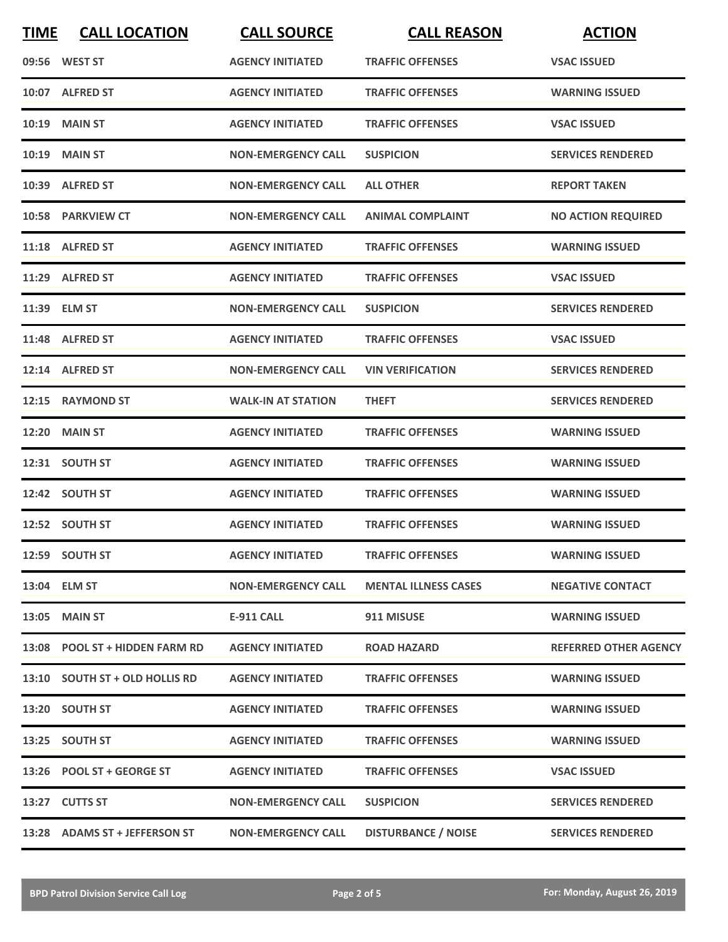| <b>TIME</b> | <b>CALL LOCATION</b>           | <b>CALL SOURCE</b>        | <b>CALL REASON</b>          | <b>ACTION</b>                |
|-------------|--------------------------------|---------------------------|-----------------------------|------------------------------|
|             | 09:56 WEST ST                  | <b>AGENCY INITIATED</b>   | <b>TRAFFIC OFFENSES</b>     | <b>VSAC ISSUED</b>           |
|             | 10:07 ALFRED ST                | <b>AGENCY INITIATED</b>   | <b>TRAFFIC OFFENSES</b>     | <b>WARNING ISSUED</b>        |
|             | <b>10:19 MAIN ST</b>           | <b>AGENCY INITIATED</b>   | <b>TRAFFIC OFFENSES</b>     | <b>VSAC ISSUED</b>           |
|             | <b>10:19 MAIN ST</b>           | <b>NON-EMERGENCY CALL</b> | <b>SUSPICION</b>            | <b>SERVICES RENDERED</b>     |
|             | 10:39 ALFRED ST                | <b>NON-EMERGENCY CALL</b> | <b>ALL OTHER</b>            | <b>REPORT TAKEN</b>          |
|             | 10:58 PARKVIEW CT              | <b>NON-EMERGENCY CALL</b> | <b>ANIMAL COMPLAINT</b>     | <b>NO ACTION REQUIRED</b>    |
|             | 11:18 ALFRED ST                | <b>AGENCY INITIATED</b>   | <b>TRAFFIC OFFENSES</b>     | <b>WARNING ISSUED</b>        |
|             | 11:29 ALFRED ST                | <b>AGENCY INITIATED</b>   | <b>TRAFFIC OFFENSES</b>     | <b>VSAC ISSUED</b>           |
|             | 11:39 ELM ST                   | <b>NON-EMERGENCY CALL</b> | <b>SUSPICION</b>            | <b>SERVICES RENDERED</b>     |
|             | 11:48 ALFRED ST                | <b>AGENCY INITIATED</b>   | <b>TRAFFIC OFFENSES</b>     | <b>VSAC ISSUED</b>           |
|             | 12:14 ALFRED ST                | <b>NON-EMERGENCY CALL</b> | <b>VIN VERIFICATION</b>     | <b>SERVICES RENDERED</b>     |
| 12:15       | <b>RAYMOND ST</b>              | <b>WALK-IN AT STATION</b> | <b>THEFT</b>                | <b>SERVICES RENDERED</b>     |
| 12:20       | <b>MAIN ST</b>                 | <b>AGENCY INITIATED</b>   | <b>TRAFFIC OFFENSES</b>     | <b>WARNING ISSUED</b>        |
|             | 12:31 SOUTH ST                 | <b>AGENCY INITIATED</b>   | <b>TRAFFIC OFFENSES</b>     | <b>WARNING ISSUED</b>        |
|             | 12:42 SOUTH ST                 | <b>AGENCY INITIATED</b>   | <b>TRAFFIC OFFENSES</b>     | <b>WARNING ISSUED</b>        |
|             | 12:52 SOUTH ST                 | <b>AGENCY INITIATED</b>   | <b>TRAFFIC OFFENSES</b>     | <b>WARNING ISSUED</b>        |
|             | 12:59 SOUTH ST                 | <b>AGENCY INITIATED</b>   | <b>TRAFFIC OFFENSES</b>     | <b>WARNING ISSUED</b>        |
|             | 13:04 ELM ST                   | <b>NON-EMERGENCY CALL</b> | <b>MENTAL ILLNESS CASES</b> | <b>NEGATIVE CONTACT</b>      |
|             | 13:05 MAIN ST                  | <b>E-911 CALL</b>         | 911 MISUSE                  | <b>WARNING ISSUED</b>        |
|             | 13:08 POOL ST + HIDDEN FARM RD | <b>AGENCY INITIATED</b>   | <b>ROAD HAZARD</b>          | <b>REFERRED OTHER AGENCY</b> |
|             | 13:10 SOUTH ST + OLD HOLLIS RD | <b>AGENCY INITIATED</b>   | <b>TRAFFIC OFFENSES</b>     | <b>WARNING ISSUED</b>        |
|             | 13:20 SOUTH ST                 | <b>AGENCY INITIATED</b>   | <b>TRAFFIC OFFENSES</b>     | <b>WARNING ISSUED</b>        |
|             | 13:25 SOUTH ST                 | <b>AGENCY INITIATED</b>   | <b>TRAFFIC OFFENSES</b>     | <b>WARNING ISSUED</b>        |
|             | 13:26 POOL ST + GEORGE ST      | <b>AGENCY INITIATED</b>   | <b>TRAFFIC OFFENSES</b>     | <b>VSAC ISSUED</b>           |
|             | 13:27 CUTTS ST                 | <b>NON-EMERGENCY CALL</b> | <b>SUSPICION</b>            | <b>SERVICES RENDERED</b>     |
|             | 13:28 ADAMS ST + JEFFERSON ST  | <b>NON-EMERGENCY CALL</b> | <b>DISTURBANCE / NOISE</b>  | <b>SERVICES RENDERED</b>     |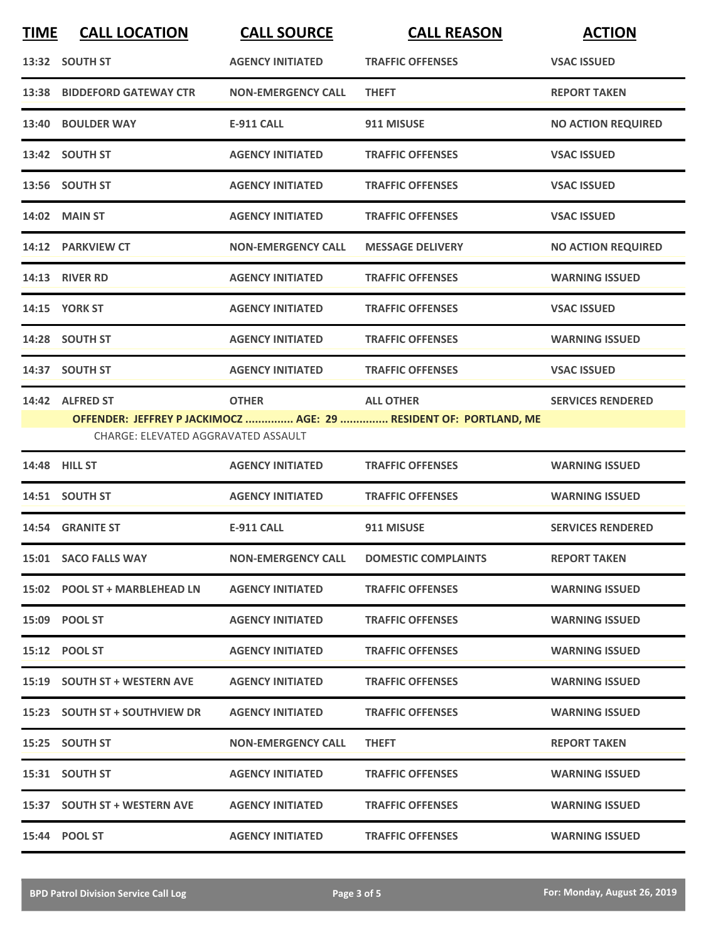| <b>TIME</b> | <b>CALL LOCATION</b>                                   | <b>CALL SOURCE</b>        | <b>CALL REASON</b>                                                                    | <b>ACTION</b>             |
|-------------|--------------------------------------------------------|---------------------------|---------------------------------------------------------------------------------------|---------------------------|
|             | 13:32 SOUTH ST                                         | <b>AGENCY INITIATED</b>   | <b>TRAFFIC OFFENSES</b>                                                               | <b>VSAC ISSUED</b>        |
|             | 13:38 BIDDEFORD GATEWAY CTR                            | <b>NON-EMERGENCY CALL</b> | <b>THEFT</b>                                                                          | <b>REPORT TAKEN</b>       |
|             | 13:40 BOULDER WAY                                      | <b>E-911 CALL</b>         | 911 MISUSE                                                                            | <b>NO ACTION REQUIRED</b> |
|             | 13:42 SOUTH ST                                         | <b>AGENCY INITIATED</b>   | <b>TRAFFIC OFFENSES</b>                                                               | <b>VSAC ISSUED</b>        |
|             | 13:56 SOUTH ST                                         | <b>AGENCY INITIATED</b>   | <b>TRAFFIC OFFENSES</b>                                                               | <b>VSAC ISSUED</b>        |
|             | 14:02 MAIN ST                                          | <b>AGENCY INITIATED</b>   | <b>TRAFFIC OFFENSES</b>                                                               | <b>VSAC ISSUED</b>        |
|             | 14:12 PARKVIEW CT                                      | <b>NON-EMERGENCY CALL</b> | <b>MESSAGE DELIVERY</b>                                                               | <b>NO ACTION REQUIRED</b> |
|             | <b>14:13 RIVER RD</b>                                  | <b>AGENCY INITIATED</b>   | <b>TRAFFIC OFFENSES</b>                                                               | <b>WARNING ISSUED</b>     |
|             | <b>14:15 YORK ST</b>                                   | <b>AGENCY INITIATED</b>   | <b>TRAFFIC OFFENSES</b>                                                               | <b>VSAC ISSUED</b>        |
|             | 14:28 SOUTH ST                                         | <b>AGENCY INITIATED</b>   | <b>TRAFFIC OFFENSES</b>                                                               | <b>WARNING ISSUED</b>     |
|             | 14:37 SOUTH ST                                         | <b>AGENCY INITIATED</b>   | <b>TRAFFIC OFFENSES</b>                                                               | <b>VSAC ISSUED</b>        |
|             | 14:42 ALFRED ST<br>CHARGE: ELEVATED AGGRAVATED ASSAULT | <b>OTHER</b>              | <b>ALL OTHER</b><br>OFFENDER: JEFFREY P JACKIMOCZ  AGE: 29  RESIDENT OF: PORTLAND, ME | <b>SERVICES RENDERED</b>  |
|             | 14:48 HILL ST                                          | <b>AGENCY INITIATED</b>   | <b>TRAFFIC OFFENSES</b>                                                               | <b>WARNING ISSUED</b>     |
|             | 14:51 SOUTH ST                                         | <b>AGENCY INITIATED</b>   | <b>TRAFFIC OFFENSES</b>                                                               | <b>WARNING ISSUED</b>     |
|             | 14:54 GRANITE ST                                       | <b>E-911 CALL</b>         | 911 MISUSE                                                                            | <b>SERVICES RENDERED</b>  |
|             | 15:01 SACO FALLS WAY                                   | <b>NON-EMERGENCY CALL</b> | <b>DOMESTIC COMPLAINTS</b>                                                            | <b>REPORT TAKEN</b>       |
|             | 15:02 POOL ST + MARBLEHEAD LN                          | <b>AGENCY INITIATED</b>   | <b>TRAFFIC OFFENSES</b>                                                               | <b>WARNING ISSUED</b>     |
|             | 15:09 POOL ST                                          | <b>AGENCY INITIATED</b>   | <b>TRAFFIC OFFENSES</b>                                                               | <b>WARNING ISSUED</b>     |
|             | 15:12 POOL ST                                          | <b>AGENCY INITIATED</b>   | <b>TRAFFIC OFFENSES</b>                                                               | <b>WARNING ISSUED</b>     |
|             | 15:19 SOUTH ST + WESTERN AVE                           | <b>AGENCY INITIATED</b>   | <b>TRAFFIC OFFENSES</b>                                                               | <b>WARNING ISSUED</b>     |
|             | 15:23 SOUTH ST + SOUTHVIEW DR                          | <b>AGENCY INITIATED</b>   | <b>TRAFFIC OFFENSES</b>                                                               | <b>WARNING ISSUED</b>     |
|             | 15:25 SOUTH ST                                         | <b>NON-EMERGENCY CALL</b> | <b>THEFT</b>                                                                          | <b>REPORT TAKEN</b>       |
|             | 15:31 SOUTH ST                                         | <b>AGENCY INITIATED</b>   | <b>TRAFFIC OFFENSES</b>                                                               | <b>WARNING ISSUED</b>     |
|             | 15:37 SOUTH ST + WESTERN AVE                           | <b>AGENCY INITIATED</b>   | <b>TRAFFIC OFFENSES</b>                                                               | <b>WARNING ISSUED</b>     |
|             | 15:44 POOL ST                                          | <b>AGENCY INITIATED</b>   | <b>TRAFFIC OFFENSES</b>                                                               | <b>WARNING ISSUED</b>     |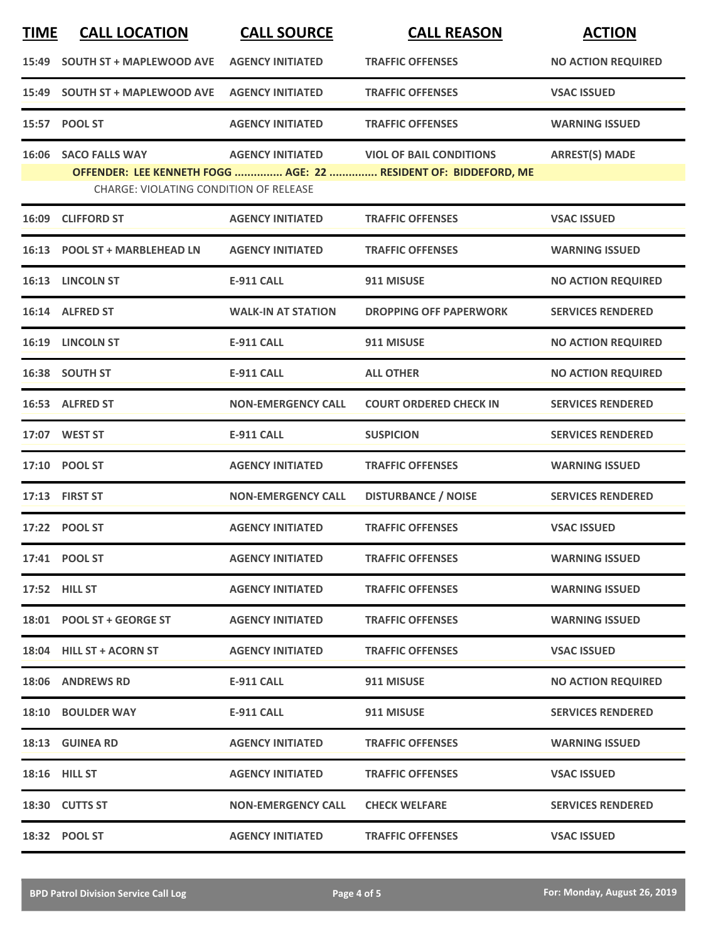| <b>TIME</b> | <b>CALL LOCATION</b>                          | <b>CALL SOURCE</b>        | <b>CALL REASON</b>                                              | <b>ACTION</b>             |
|-------------|-----------------------------------------------|---------------------------|-----------------------------------------------------------------|---------------------------|
|             | 15:49 SOUTH ST + MAPLEWOOD AVE                | <b>AGENCY INITIATED</b>   | <b>TRAFFIC OFFENSES</b>                                         | <b>NO ACTION REQUIRED</b> |
|             | 15:49 SOUTH ST + MAPLEWOOD AVE                | <b>AGENCY INITIATED</b>   | <b>TRAFFIC OFFENSES</b>                                         | <b>VSAC ISSUED</b>        |
|             | 15:57 POOL ST                                 | <b>AGENCY INITIATED</b>   | <b>TRAFFIC OFFENSES</b>                                         | <b>WARNING ISSUED</b>     |
|             | 16:06 SACO FALLS WAY                          | <b>AGENCY INITIATED</b>   | <b>VIOL OF BAIL CONDITIONS</b>                                  | <b>ARREST(S) MADE</b>     |
|             | <b>CHARGE: VIOLATING CONDITION OF RELEASE</b> |                           | OFFENDER: LEE KENNETH FOGG  AGE: 22  RESIDENT OF: BIDDEFORD, ME |                           |
|             | 16:09 CLIFFORD ST                             | <b>AGENCY INITIATED</b>   | <b>TRAFFIC OFFENSES</b>                                         | <b>VSAC ISSUED</b>        |
|             | 16:13 POOL ST + MARBLEHEAD LN                 | <b>AGENCY INITIATED</b>   | <b>TRAFFIC OFFENSES</b>                                         | <b>WARNING ISSUED</b>     |
|             | 16:13 LINCOLN ST                              | <b>E-911 CALL</b>         | 911 MISUSE                                                      | <b>NO ACTION REQUIRED</b> |
|             | 16:14 ALFRED ST                               | <b>WALK-IN AT STATION</b> | <b>DROPPING OFF PAPERWORK</b>                                   | <b>SERVICES RENDERED</b>  |
|             | 16:19 LINCOLN ST                              | <b>E-911 CALL</b>         | 911 MISUSE                                                      | <b>NO ACTION REQUIRED</b> |
|             | 16:38 SOUTH ST                                | <b>E-911 CALL</b>         | <b>ALL OTHER</b>                                                | <b>NO ACTION REQUIRED</b> |
|             | 16:53 ALFRED ST                               | <b>NON-EMERGENCY CALL</b> | <b>COURT ORDERED CHECK IN</b>                                   | <b>SERVICES RENDERED</b>  |
|             | 17:07 WEST ST                                 | <b>E-911 CALL</b>         | <b>SUSPICION</b>                                                | <b>SERVICES RENDERED</b>  |
|             | 17:10 POOL ST                                 | <b>AGENCY INITIATED</b>   | <b>TRAFFIC OFFENSES</b>                                         | <b>WARNING ISSUED</b>     |
|             | 17:13 FIRST ST                                | <b>NON-EMERGENCY CALL</b> | <b>DISTURBANCE / NOISE</b>                                      | <b>SERVICES RENDERED</b>  |
|             | 17:22 POOL ST                                 | <b>AGENCY INITIATED</b>   | <b>TRAFFIC OFFENSES</b>                                         | <b>VSAC ISSUED</b>        |
|             | 17:41 POOL ST                                 | <b>AGENCY INITIATED</b>   | <b>TRAFFIC OFFENSES</b>                                         | <b>WARNING ISSUED</b>     |
|             | 17:52 HILL ST                                 | <b>AGENCY INITIATED</b>   | <b>TRAFFIC OFFENSES</b>                                         | <b>WARNING ISSUED</b>     |
|             | 18:01 POOL ST + GEORGE ST                     | <b>AGENCY INITIATED</b>   | <b>TRAFFIC OFFENSES</b>                                         | <b>WARNING ISSUED</b>     |
|             | 18:04 HILL ST + ACORN ST                      | <b>AGENCY INITIATED</b>   | <b>TRAFFIC OFFENSES</b>                                         | <b>VSAC ISSUED</b>        |
|             | <b>18:06 ANDREWS RD</b>                       | E-911 CALL                | 911 MISUSE                                                      | <b>NO ACTION REQUIRED</b> |
|             | <b>18:10 BOULDER WAY</b>                      | E-911 CALL                | 911 MISUSE                                                      | <b>SERVICES RENDERED</b>  |
|             | 18:13 GUINEA RD                               | <b>AGENCY INITIATED</b>   | <b>TRAFFIC OFFENSES</b>                                         | <b>WARNING ISSUED</b>     |
|             | 18:16 HILL ST                                 | <b>AGENCY INITIATED</b>   | <b>TRAFFIC OFFENSES</b>                                         | <b>VSAC ISSUED</b>        |
|             | 18:30 CUTTS ST                                | <b>NON-EMERGENCY CALL</b> | <b>CHECK WELFARE</b>                                            | <b>SERVICES RENDERED</b>  |
|             | 18:32 POOL ST                                 | <b>AGENCY INITIATED</b>   | <b>TRAFFIC OFFENSES</b>                                         | <b>VSAC ISSUED</b>        |